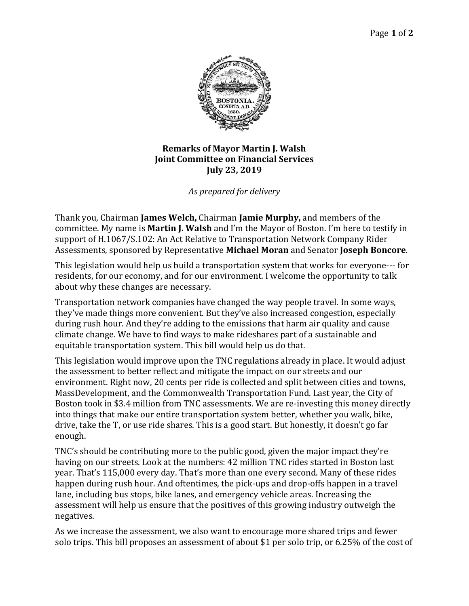

## **Remarks of Mayor Martin J. Walsh Joint Committee on Financial Services July 23, 2019**

*As prepared for delivery*

Thank you, Chairman **James Welch,** Chairman **Jamie Murphy,** and members of the committee. My name is **Martin J. Walsh** and I'm the Mayor of Boston. I'm here to testify in support of H.1067/S.102: An Act Relative to Transportation Network Company Rider Assessments, sponsored by Representative **Michael Moran** and Senator **Joseph Boncore**.

This legislation would help us build a transportation system that works for everyone--- for residents, for our economy, and for our environment. I welcome the opportunity to talk about why these changes are necessary.

Transportation network companies have changed the way people travel. In some ways, they've made things more convenient. But they've also increased congestion, especially during rush hour. And they're adding to the emissions that harm air quality and cause climate change. We have to find ways to make rideshares part of a sustainable and equitable transportation system. This bill would help us do that.

This legislation would improve upon the TNC regulations already in place. It would adjust the assessment to better reflect and mitigate the impact on our streets and our environment. Right now, 20 cents per ride is collected and split between cities and towns, MassDevelopment, and the Commonwealth Transportation Fund. Last year, the City of Boston took in \$3.4 million from TNC assessments. We are re-investing this money directly into things that make our entire transportation system better, whether you walk, bike, drive, take the T, or use ride shares. This is a good start. But honestly, it doesn't go far enough.

TNC's should be contributing more to the public good, given the major impact they're having on our streets. Look at the numbers: 42 million TNC rides started in Boston last year. That's 115,000 every day. That's more than one every second. Many of these rides happen during rush hour. And oftentimes, the pick-ups and drop-offs happen in a travel lane, including bus stops, bike lanes, and emergency vehicle areas. Increasing the assessment will help us ensure that the positives of this growing industry outweigh the negatives.

As we increase the assessment, we also want to encourage more shared trips and fewer solo trips. This bill proposes an assessment of about \$1 per solo trip, or 6.25% of the cost of